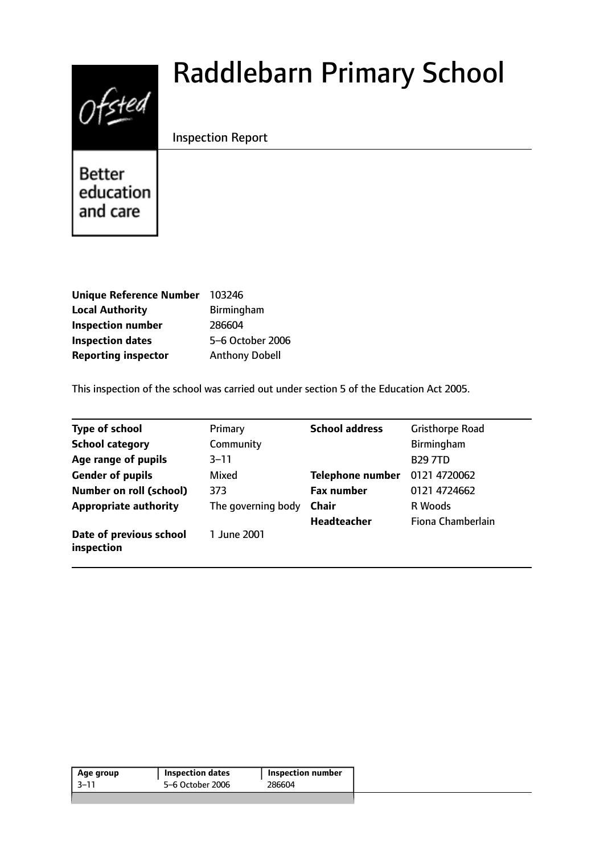# $0$ fsted

# Raddlebarn Primary School

# Inspection Report

**Better** education and care

| <b>Unique Reference Number</b> | 103246                |
|--------------------------------|-----------------------|
| <b>Local Authority</b>         | <b>Birmingham</b>     |
| <b>Inspection number</b>       | 286604                |
| <b>Inspection dates</b>        | 5-6 October 2006      |
| <b>Reporting inspector</b>     | <b>Anthony Dobell</b> |

This inspection of the school was carried out under section 5 of the Education Act 2005.

| <b>Type of school</b>                 | Primary            | <b>School address</b>   | <b>Gristhorpe Road</b> |
|---------------------------------------|--------------------|-------------------------|------------------------|
| <b>School category</b>                | Community          |                         | Birmingham             |
| Age range of pupils                   | $3 - 11$           |                         | <b>B29 7TD</b>         |
| <b>Gender of pupils</b>               | Mixed              | <b>Telephone number</b> | 0121 4720062           |
| <b>Number on roll (school)</b>        | 373                | <b>Fax number</b>       | 0121 4724662           |
| <b>Appropriate authority</b>          | The governing body | Chair                   | R Woods                |
|                                       |                    | <b>Headteacher</b>      | Fiona Chamberlain      |
| Date of previous school<br>inspection | 1 June 2001        |                         |                        |

| Age group | <b>Inspection dates</b> | Inspection number |
|-----------|-------------------------|-------------------|
| -3–11     | 5–6 October 2006        | 286604            |
|           |                         |                   |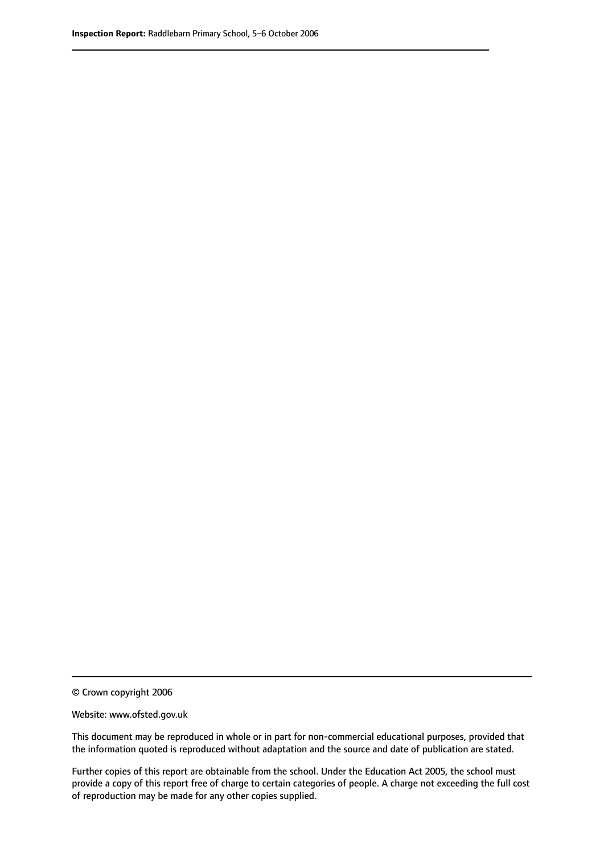© Crown copyright 2006

Website: www.ofsted.gov.uk

This document may be reproduced in whole or in part for non-commercial educational purposes, provided that the information quoted is reproduced without adaptation and the source and date of publication are stated.

Further copies of this report are obtainable from the school. Under the Education Act 2005, the school must provide a copy of this report free of charge to certain categories of people. A charge not exceeding the full cost of reproduction may be made for any other copies supplied.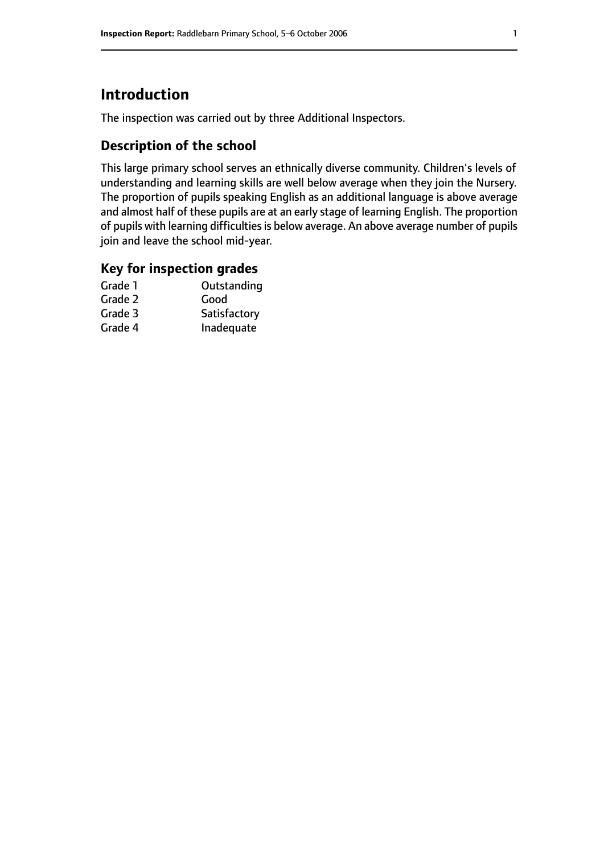# **Introduction**

The inspection was carried out by three Additional Inspectors.

# **Description of the school**

This large primary school serves an ethnically diverse community. Children's levels of understanding and learning skills are well below average when they join the Nursery. The proportion of pupils speaking English as an additional language is above average and almost half of these pupils are at an early stage of learning English. The proportion of pupils with learning difficulties is below average. An above average number of pupils join and leave the school mid-year.

#### **Key for inspection grades**

| Outstanding  |
|--------------|
| Good         |
| Satisfactory |
| Inadequate   |
|              |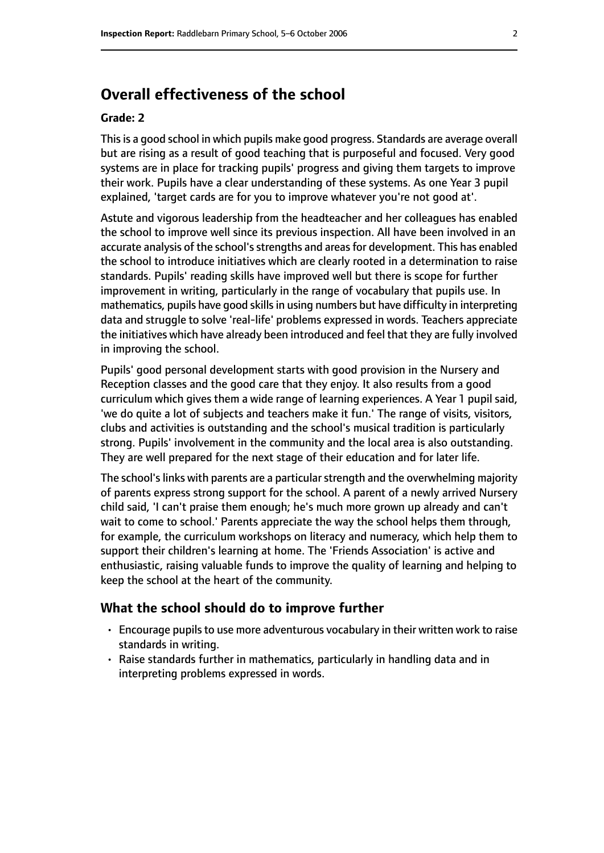# **Overall effectiveness of the school**

#### **Grade: 2**

This is a good school in which pupils make good progress. Standards are average overall but are rising as a result of good teaching that is purposeful and focused. Very good systems are in place for tracking pupils' progress and giving them targets to improve their work. Pupils have a clear understanding of these systems. As one Year 3 pupil explained, 'target cards are for you to improve whatever you're not good at'.

Astute and vigorous leadership from the headteacher and her colleagues has enabled the school to improve well since its previous inspection. All have been involved in an accurate analysis of the school's strengths and areas for development. This has enabled the school to introduce initiatives which are clearly rooted in a determination to raise standards. Pupils' reading skills have improved well but there is scope for further improvement in writing, particularly in the range of vocabulary that pupils use. In mathematics, pupils have good skills in using numbers but have difficulty in interpreting data and struggle to solve 'real-life' problems expressed in words. Teachers appreciate the initiatives which have already been introduced and feel that they are fully involved in improving the school.

Pupils' good personal development starts with good provision in the Nursery and Reception classes and the good care that they enjoy. It also results from a good curriculum which gives them a wide range of learning experiences. A Year 1 pupil said, 'we do quite a lot of subjects and teachers make it fun.' The range of visits, visitors, clubs and activities is outstanding and the school's musical tradition is particularly strong. Pupils' involvement in the community and the local area is also outstanding. They are well prepared for the next stage of their education and for later life.

The school's links with parents are a particular strength and the overwhelming majority of parents express strong support for the school. A parent of a newly arrived Nursery child said, 'I can't praise them enough; he's much more grown up already and can't wait to come to school.' Parents appreciate the way the school helps them through, for example, the curriculum workshops on literacy and numeracy, which help them to support their children's learning at home. The 'Friends Association' is active and enthusiastic, raising valuable funds to improve the quality of learning and helping to keep the school at the heart of the community.

#### **What the school should do to improve further**

- Encourage pupils to use more adventurous vocabulary in their written work to raise standards in writing.
- Raise standards further in mathematics, particularly in handling data and in interpreting problems expressed in words.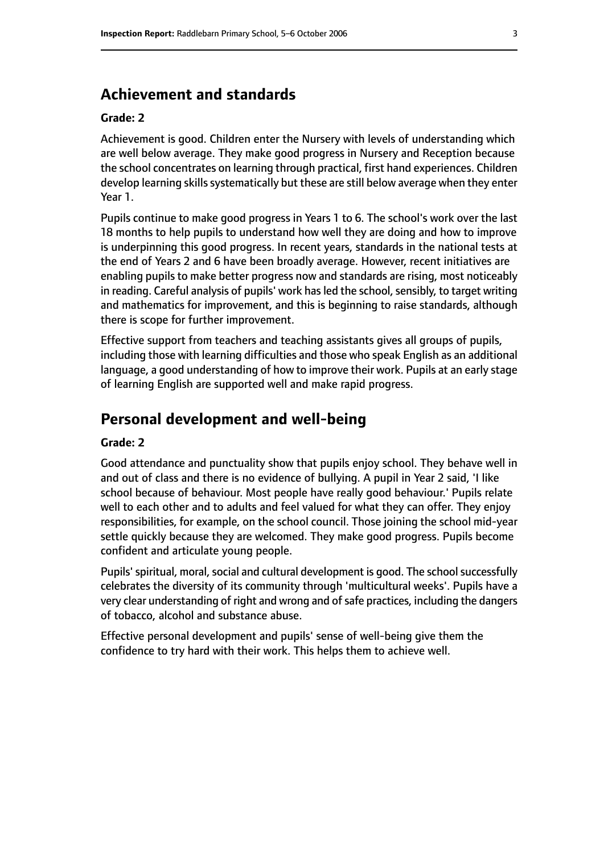# **Achievement and standards**

#### **Grade: 2**

Achievement is good. Children enter the Nursery with levels of understanding which are well below average. They make good progress in Nursery and Reception because the school concentrates on learning through practical, first hand experiences. Children develop learning skills systematically but these are still below average when they enter Year 1.

Pupils continue to make good progress in Years 1 to 6. The school's work over the last 18 months to help pupils to understand how well they are doing and how to improve is underpinning this good progress. In recent years, standards in the national tests at the end of Years 2 and 6 have been broadly average. However, recent initiatives are enabling pupils to make better progress now and standards are rising, most noticeably in reading. Careful analysis of pupils' work has led the school, sensibly, to target writing and mathematics for improvement, and this is beginning to raise standards, although there is scope for further improvement.

Effective support from teachers and teaching assistants gives all groups of pupils, including those with learning difficulties and those who speak English as an additional language, a good understanding of how to improve their work. Pupils at an early stage of learning English are supported well and make rapid progress.

# **Personal development and well-being**

#### **Grade: 2**

Good attendance and punctuality show that pupils enjoy school. They behave well in and out of class and there is no evidence of bullying. A pupil in Year 2 said, 'I like school because of behaviour. Most people have really good behaviour.' Pupils relate well to each other and to adults and feel valued for what they can offer. They enjoy responsibilities, for example, on the school council. Those joining the school mid-year settle quickly because they are welcomed. They make good progress. Pupils become confident and articulate young people.

Pupils' spiritual, moral, social and cultural development is good. The school successfully celebrates the diversity of its community through 'multicultural weeks'. Pupils have a very clear understanding of right and wrong and of safe practices, including the dangers of tobacco, alcohol and substance abuse.

Effective personal development and pupils' sense of well-being give them the confidence to try hard with their work. This helps them to achieve well.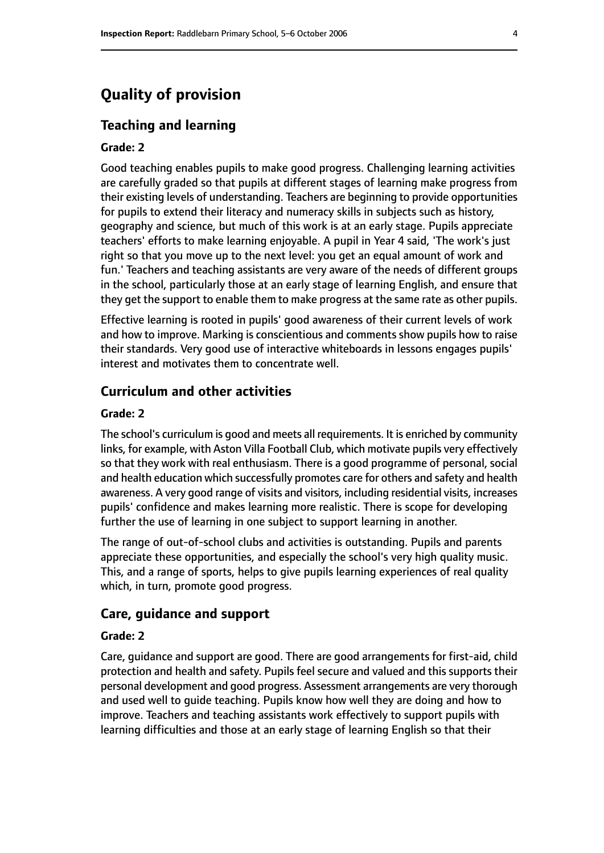# **Quality of provision**

#### **Teaching and learning**

#### **Grade: 2**

Good teaching enables pupils to make good progress. Challenging learning activities are carefully graded so that pupils at different stages of learning make progress from their existing levels of understanding. Teachers are beginning to provide opportunities for pupils to extend their literacy and numeracy skills in subjects such as history, geography and science, but much of this work is at an early stage. Pupils appreciate teachers' efforts to make learning enjoyable. A pupil in Year 4 said, 'The work's just right so that you move up to the next level: you get an equal amount of work and fun.' Teachers and teaching assistants are very aware of the needs of different groups in the school, particularly those at an early stage of learning English, and ensure that they get the support to enable them to make progress at the same rate as other pupils.

Effective learning is rooted in pupils' good awareness of their current levels of work and how to improve. Marking is conscientious and comments show pupils how to raise their standards. Very good use of interactive whiteboards in lessons engages pupils' interest and motivates them to concentrate well.

#### **Curriculum and other activities**

#### **Grade: 2**

The school's curriculum is good and meets all requirements. It is enriched by community links, for example, with Aston Villa Football Club, which motivate pupils very effectively so that they work with real enthusiasm. There is a good programme of personal, social and health education which successfully promotes care for others and safety and health awareness. A very good range of visits and visitors, including residential visits, increases pupils' confidence and makes learning more realistic. There is scope for developing further the use of learning in one subject to support learning in another.

The range of out-of-school clubs and activities is outstanding. Pupils and parents appreciate these opportunities, and especially the school's very high quality music. This, and a range of sports, helps to give pupils learning experiences of real quality which, in turn, promote good progress.

#### **Care, guidance and support**

#### **Grade: 2**

Care, guidance and support are good. There are good arrangements for first-aid, child protection and health and safety. Pupils feel secure and valued and this supports their personal development and good progress. Assessment arrangements are very thorough and used well to guide teaching. Pupils know how well they are doing and how to improve. Teachers and teaching assistants work effectively to support pupils with learning difficulties and those at an early stage of learning English so that their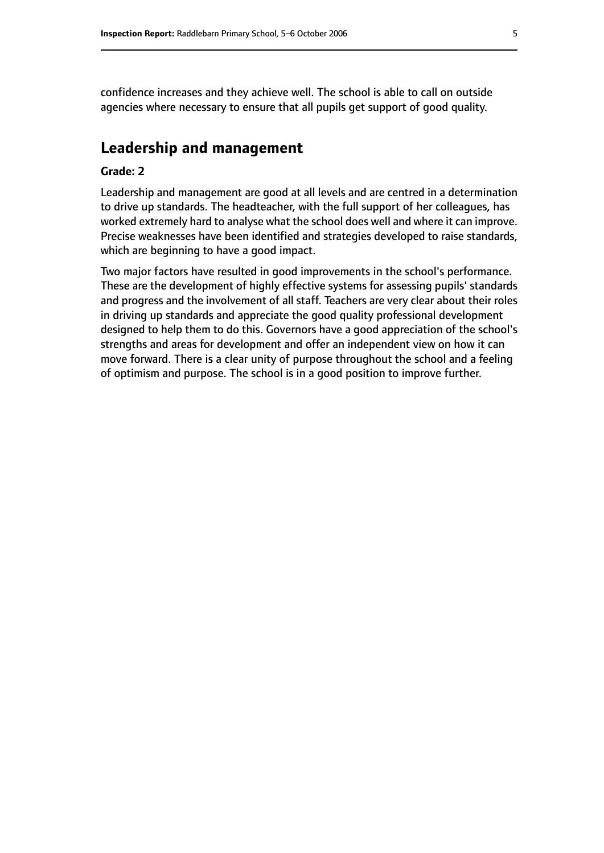confidence increases and they achieve well. The school is able to call on outside agencies where necessary to ensure that all pupils get support of good quality.

# **Leadership and management**

#### **Grade: 2**

Leadership and management are good at all levels and are centred in a determination to drive up standards. The headteacher, with the full support of her colleagues, has worked extremely hard to analyse what the school does well and where it can improve. Precise weaknesses have been identified and strategies developed to raise standards, which are beginning to have a good impact.

Two major factors have resulted in good improvements in the school's performance. These are the development of highly effective systems for assessing pupils' standards and progress and the involvement of all staff. Teachers are very clear about their roles in driving up standards and appreciate the good quality professional development designed to help them to do this. Governors have a good appreciation of the school's strengths and areas for development and offer an independent view on how it can move forward. There is a clear unity of purpose throughout the school and a feeling of optimism and purpose. The school is in a good position to improve further.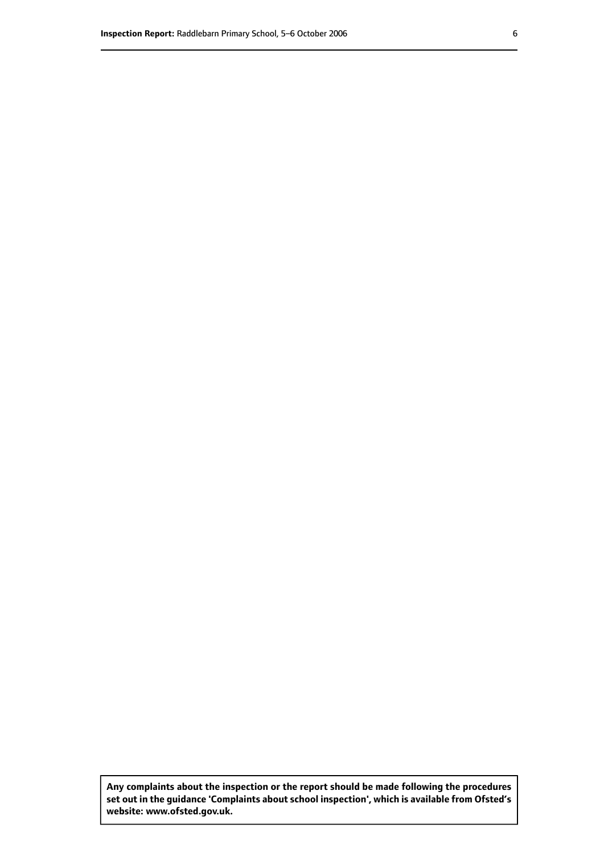**Any complaints about the inspection or the report should be made following the procedures set out inthe guidance 'Complaints about school inspection', whichis available from Ofsted's website: www.ofsted.gov.uk.**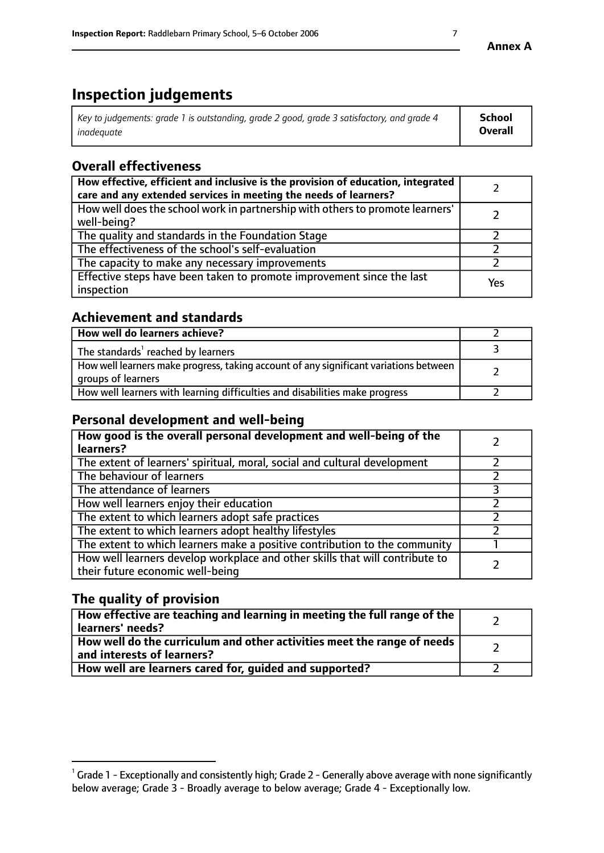# **Inspection judgements**

| $^{\circ}$ Key to judgements: grade 1 is outstanding, grade 2 good, grade 3 satisfactory, and grade 4 $^{\circ}$ | <b>School</b>  |
|------------------------------------------------------------------------------------------------------------------|----------------|
| inadeauate                                                                                                       | <b>Overall</b> |

# **Overall effectiveness**

| How effective, efficient and inclusive is the provision of education, integrated<br>care and any extended services in meeting the needs of learners? |     |
|------------------------------------------------------------------------------------------------------------------------------------------------------|-----|
| How well does the school work in partnership with others to promote learners'<br>well-being?                                                         |     |
| The quality and standards in the Foundation Stage                                                                                                    |     |
| The effectiveness of the school's self-evaluation                                                                                                    |     |
| The capacity to make any necessary improvements                                                                                                      |     |
| Effective steps have been taken to promote improvement since the last<br>inspection                                                                  | Yes |

# **Achievement and standards**

| How well do learners achieve?                                                                               |  |
|-------------------------------------------------------------------------------------------------------------|--|
| The standards <sup>1</sup> reached by learners                                                              |  |
| How well learners make progress, taking account of any significant variations between<br>groups of learners |  |
| How well learners with learning difficulties and disabilities make progress                                 |  |

# **Personal development and well-being**

| How good is the overall personal development and well-being of the<br>learners?                                  |  |
|------------------------------------------------------------------------------------------------------------------|--|
| The extent of learners' spiritual, moral, social and cultural development                                        |  |
| The behaviour of learners                                                                                        |  |
| The attendance of learners                                                                                       |  |
| How well learners enjoy their education                                                                          |  |
| The extent to which learners adopt safe practices                                                                |  |
| The extent to which learners adopt healthy lifestyles                                                            |  |
| The extent to which learners make a positive contribution to the community                                       |  |
| How well learners develop workplace and other skills that will contribute to<br>their future economic well-being |  |

# **The quality of provision**

| How effective are teaching and learning in meeting the full range of the<br>learners' needs?          |  |
|-------------------------------------------------------------------------------------------------------|--|
| How well do the curriculum and other activities meet the range of needs<br>and interests of learners? |  |
| How well are learners cared for, guided and supported?                                                |  |

 $^1$  Grade 1 - Exceptionally and consistently high; Grade 2 - Generally above average with none significantly below average; Grade 3 - Broadly average to below average; Grade 4 - Exceptionally low.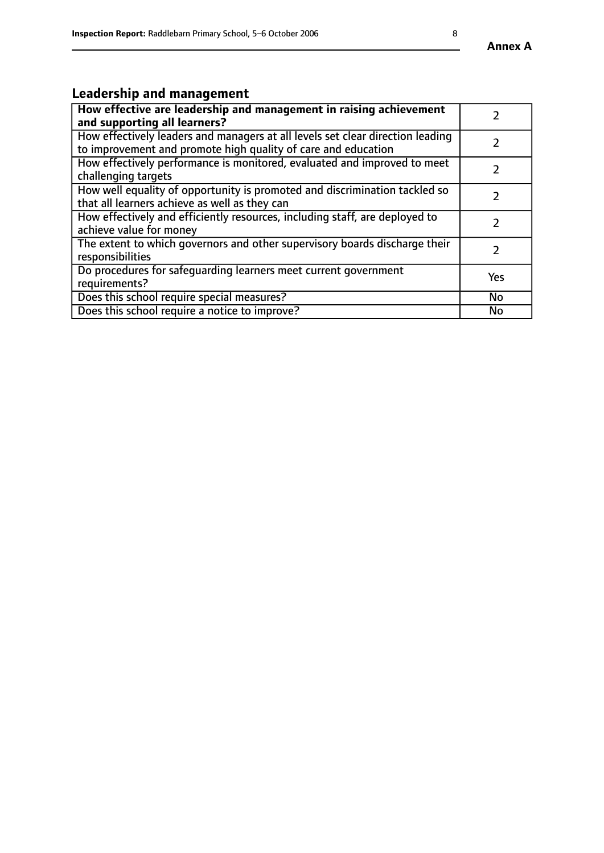#### **Annex A**

# **Leadership and management**

| How effective are leadership and management in raising achievement<br>and supporting all learners?                                              |               |
|-------------------------------------------------------------------------------------------------------------------------------------------------|---------------|
| How effectively leaders and managers at all levels set clear direction leading<br>to improvement and promote high quality of care and education |               |
| How effectively performance is monitored, evaluated and improved to meet<br>challenging targets                                                 | $\mathcal{L}$ |
| How well equality of opportunity is promoted and discrimination tackled so<br>that all learners achieve as well as they can                     |               |
| How effectively and efficiently resources, including staff, are deployed to<br>achieve value for money                                          | $\mathcal{P}$ |
| The extent to which governors and other supervisory boards discharge their<br>responsibilities                                                  |               |
| Do procedures for safequarding learners meet current government<br>requirements?                                                                | Yes           |
| Does this school require special measures?                                                                                                      | <b>No</b>     |
| Does this school require a notice to improve?                                                                                                   | No            |